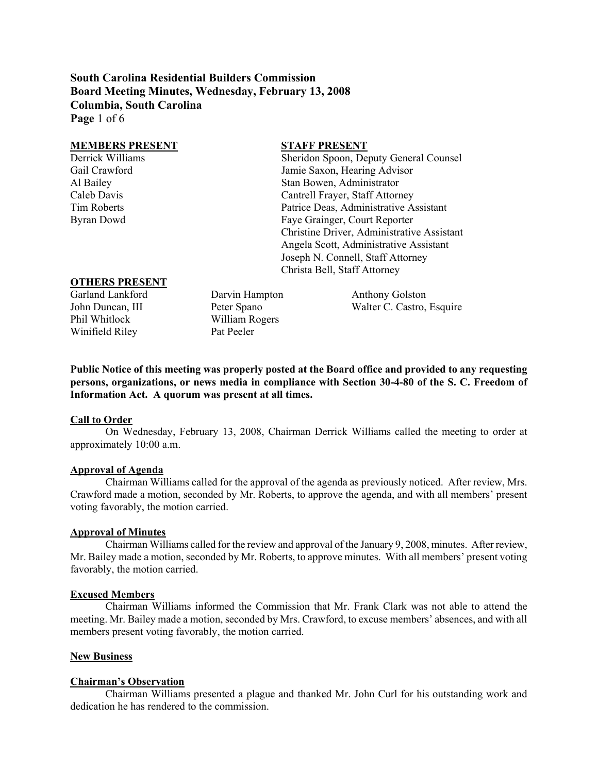**South Carolina Residential Builders Commission Board Meeting Minutes, Wednesday, February 13, 2008 Columbia, South Carolina Page** 1 of 6

| <b>MEMBERS PRESENT</b> | <b>STAFF PRESENT</b>                       |
|------------------------|--------------------------------------------|
| Derrick Williams       | Sheridon Spoon, Deputy General Counsel     |
| Gail Crawford          | Jamie Saxon, Hearing Advisor               |
| Al Bailey              | Stan Bowen, Administrator                  |
| Caleb Davis            | Cantrell Frayer, Staff Attorney            |
| Tim Roberts            | Patrice Deas, Administrative Assistant     |
| Byran Dowd             | Faye Grainger, Court Reporter              |
|                        | Christine Driver, Administrative Assistant |
|                        | Angela Scott, Administrative Assistant     |
|                        | Joseph N. Connell, Staff Attorney          |
|                        | Christa Bell, Staff Attorney               |
| <b>OTHERS PRESENT</b>  |                                            |

#### **OTHERS PRESENT**

Phil Whitlock William Rogers Winifield Riley Pat Peeler

Garland Lankford Darvin Hampton Anthony Golston John Duncan, III Peter Spano Walter C. Castro, Esquire

**Public Notice of this meeting was properly posted at the Board office and provided to any requesting persons, organizations, or news media in compliance with Section 30-4-80 of the S. C. Freedom of Information Act. A quorum was present at all times.** 

#### **Call to Order**

On Wednesday, February 13, 2008, Chairman Derrick Williams called the meeting to order at approximately 10:00 a.m.

#### **Approval of Agenda**

Chairman Williams called for the approval of the agenda as previously noticed. After review, Mrs. Crawford made a motion, seconded by Mr. Roberts, to approve the agenda, and with all members' present voting favorably, the motion carried.

#### **Approval of Minutes**

Chairman Williams called for the review and approval of the January 9, 2008, minutes. After review, Mr. Bailey made a motion, seconded by Mr. Roberts, to approve minutes. With all members' present voting favorably, the motion carried.

#### **Excused Members**

Chairman Williams informed the Commission that Mr. Frank Clark was not able to attend the meeting. Mr. Bailey made a motion, seconded by Mrs. Crawford, to excuse members' absences, and with all members present voting favorably, the motion carried.

#### **New Business**

#### **Chairman's Observation**

 Chairman Williams presented a plague and thanked Mr. John Curl for his outstanding work and dedication he has rendered to the commission.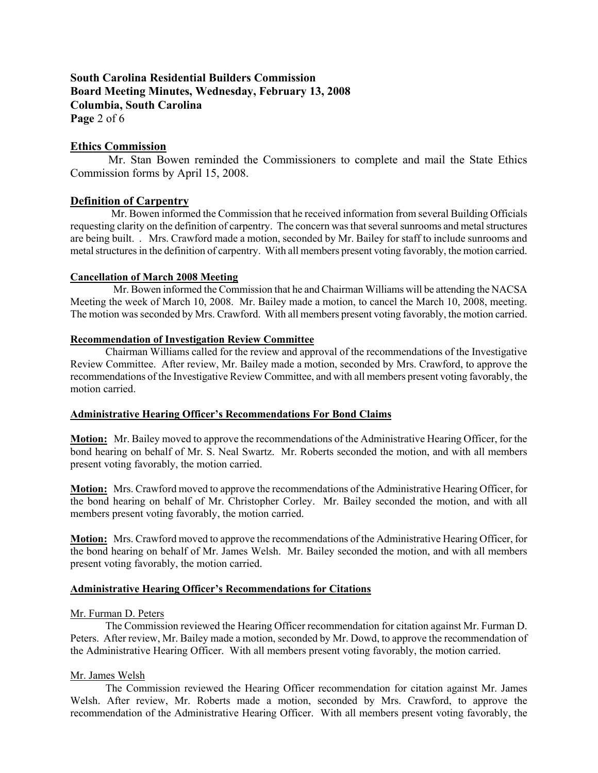# **South Carolina Residential Builders Commission Board Meeting Minutes, Wednesday, February 13, 2008 Columbia, South Carolina Page** 2 of 6

**Ethics Commission**

 Mr. Stan Bowen reminded the Commissioners to complete and mail the State Ethics Commission forms by April 15, 2008.

## **Definition of Carpentry**

 Mr. Bowen informed the Commission that he received information from several Building Officials requesting clarity on the definition of carpentry. The concern was that several sunrooms and metal structures are being built. . Mrs. Crawford made a motion, seconded by Mr. Bailey for staff to include sunrooms and metal structures in the definition of carpentry. With all members present voting favorably, the motion carried.

### **Cancellation of March 2008 Meeting**

 Mr. Bowen informed the Commission that he and Chairman Williams will be attending the NACSA Meeting the week of March 10, 2008. Mr. Bailey made a motion, to cancel the March 10, 2008, meeting. The motion was seconded by Mrs. Crawford. With all members present voting favorably, the motion carried.

### **Recommendation of Investigation Review Committee**

Chairman Williams called for the review and approval of the recommendations of the Investigative Review Committee. After review, Mr. Bailey made a motion, seconded by Mrs. Crawford, to approve the recommendations of the Investigative Review Committee, and with all members present voting favorably, the motion carried.

### **Administrative Hearing Officer's Recommendations For Bond Claims**

**Motion:** Mr. Bailey moved to approve the recommendations of the Administrative Hearing Officer, for the bond hearing on behalf of Mr. S. Neal Swartz. Mr. Roberts seconded the motion, and with all members present voting favorably, the motion carried.

**Motion:** Mrs. Crawford moved to approve the recommendations of the Administrative Hearing Officer, for the bond hearing on behalf of Mr. Christopher Corley. Mr. Bailey seconded the motion, and with all members present voting favorably, the motion carried.

**Motion:** Mrs. Crawford moved to approve the recommendations of the Administrative Hearing Officer, for the bond hearing on behalf of Mr. James Welsh. Mr. Bailey seconded the motion, and with all members present voting favorably, the motion carried.

### **Administrative Hearing Officer's Recommendations for Citations**

#### Mr. Furman D. Peters

The Commission reviewed the Hearing Officer recommendation for citation against Mr. Furman D. Peters. After review, Mr. Bailey made a motion, seconded by Mr. Dowd, to approve the recommendation of the Administrative Hearing Officer. With all members present voting favorably, the motion carried.

### Mr. James Welsh

The Commission reviewed the Hearing Officer recommendation for citation against Mr. James Welsh. After review, Mr. Roberts made a motion, seconded by Mrs. Crawford, to approve the recommendation of the Administrative Hearing Officer. With all members present voting favorably, the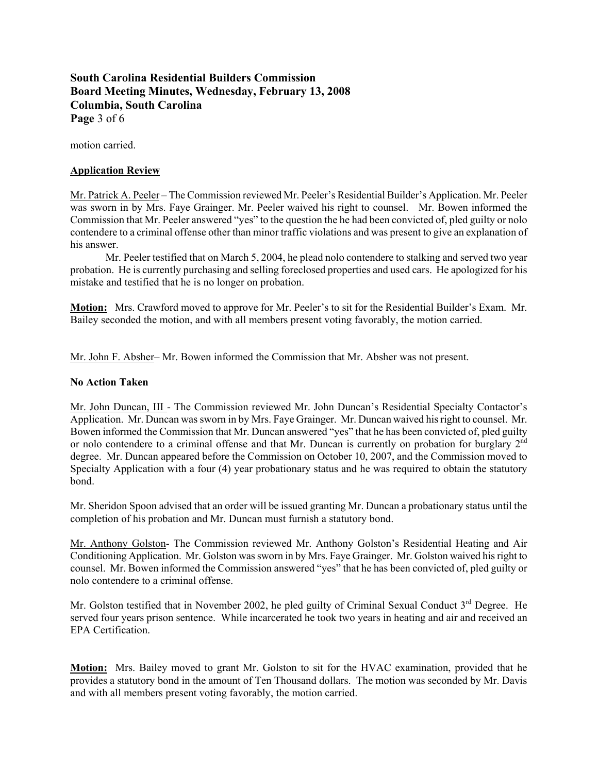**South Carolina Residential Builders Commission Board Meeting Minutes, Wednesday, February 13, 2008 Columbia, South Carolina Page** 3 of 6

motion carried.

## **Application Review**

Mr. Patrick A. Peeler – The Commission reviewed Mr. Peeler's Residential Builder's Application. Mr. Peeler was sworn in by Mrs. Faye Grainger. Mr. Peeler waived his right to counsel. Mr. Bowen informed the Commission that Mr. Peeler answered "yes" to the question the he had been convicted of, pled guilty or nolo contendere to a criminal offense other than minor traffic violations and was present to give an explanation of his answer.

Mr. Peeler testified that on March 5, 2004, he plead nolo contendere to stalking and served two year probation. He is currently purchasing and selling foreclosed properties and used cars. He apologized for his mistake and testified that he is no longer on probation.

**Motion:** Mrs. Crawford moved to approve for Mr. Peeler's to sit for the Residential Builder's Exam. Mr. Bailey seconded the motion, and with all members present voting favorably, the motion carried.

Mr. John F. Absher– Mr. Bowen informed the Commission that Mr. Absher was not present.

## **No Action Taken**

Mr. John Duncan, III - The Commission reviewed Mr. John Duncan's Residential Specialty Contactor's Application. Mr. Duncan was sworn in by Mrs. Faye Grainger. Mr. Duncan waived his right to counsel. Mr. Bowen informed the Commission that Mr. Duncan answered "yes" that he has been convicted of, pled guilty or nolo contendere to a criminal offense and that Mr. Duncan is currently on probation for burglary  $2<sup>nd</sup>$ degree. Mr. Duncan appeared before the Commission on October 10, 2007, and the Commission moved to Specialty Application with a four (4) year probationary status and he was required to obtain the statutory bond.

Mr. Sheridon Spoon advised that an order will be issued granting Mr. Duncan a probationary status until the completion of his probation and Mr. Duncan must furnish a statutory bond.

Mr. Anthony Golston- The Commission reviewed Mr. Anthony Golston's Residential Heating and Air Conditioning Application. Mr. Golston was sworn in by Mrs. Faye Grainger. Mr. Golston waived his right to counsel. Mr. Bowen informed the Commission answered "yes" that he has been convicted of, pled guilty or nolo contendere to a criminal offense.

Mr. Golston testified that in November 2002, he pled guilty of Criminal Sexual Conduct 3<sup>rd</sup> Degree. He served four years prison sentence. While incarcerated he took two years in heating and air and received an EPA Certification.

**Motion:** Mrs. Bailey moved to grant Mr. Golston to sit for the HVAC examination, provided that he provides a statutory bond in the amount of Ten Thousand dollars. The motion was seconded by Mr. Davis and with all members present voting favorably, the motion carried.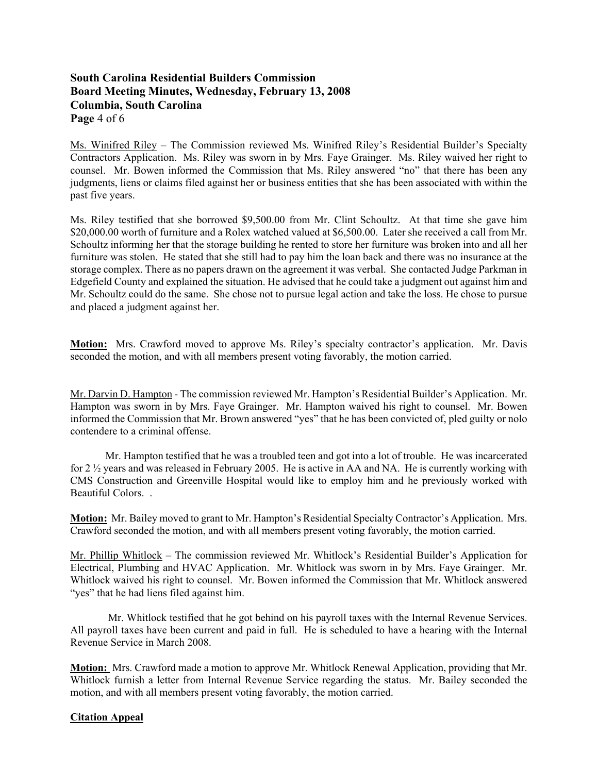# **South Carolina Residential Builders Commission Board Meeting Minutes, Wednesday, February 13, 2008 Columbia, South Carolina Page** 4 of 6

Ms. Winifred Riley – The Commission reviewed Ms. Winifred Riley's Residential Builder's Specialty Contractors Application. Ms. Riley was sworn in by Mrs. Faye Grainger. Ms. Riley waived her right to counsel. Mr. Bowen informed the Commission that Ms. Riley answered "no" that there has been any judgments, liens or claims filed against her or business entities that she has been associated with within the past five years.

Ms. Riley testified that she borrowed \$9,500.00 from Mr. Clint Schoultz. At that time she gave him \$20,000.00 worth of furniture and a Rolex watched valued at \$6,500.00. Later she received a call from Mr. Schoultz informing her that the storage building he rented to store her furniture was broken into and all her furniture was stolen. He stated that she still had to pay him the loan back and there was no insurance at the storage complex. There as no papers drawn on the agreement it was verbal. She contacted Judge Parkman in Edgefield County and explained the situation. He advised that he could take a judgment out against him and Mr. Schoultz could do the same. She chose not to pursue legal action and take the loss. He chose to pursue and placed a judgment against her.

**Motion:** Mrs. Crawford moved to approve Ms. Riley's specialty contractor's application. Mr. Davis seconded the motion, and with all members present voting favorably, the motion carried.

Mr. Darvin D. Hampton - The commission reviewed Mr. Hampton's Residential Builder's Application. Mr. Hampton was sworn in by Mrs. Faye Grainger. Mr. Hampton waived his right to counsel. Mr. Bowen informed the Commission that Mr. Brown answered "yes" that he has been convicted of, pled guilty or nolo contendere to a criminal offense.

 Mr. Hampton testified that he was a troubled teen and got into a lot of trouble. He was incarcerated for 2 ½ years and was released in February 2005. He is active in AA and NA. He is currently working with CMS Construction and Greenville Hospital would like to employ him and he previously worked with Beautiful Colors. .

**Motion:** Mr. Bailey moved to grant to Mr. Hampton's Residential Specialty Contractor's Application. Mrs. Crawford seconded the motion, and with all members present voting favorably, the motion carried.

Mr. Phillip Whitlock – The commission reviewed Mr. Whitlock's Residential Builder's Application for Electrical, Plumbing and HVAC Application. Mr. Whitlock was sworn in by Mrs. Faye Grainger. Mr. Whitlock waived his right to counsel. Mr. Bowen informed the Commission that Mr. Whitlock answered "yes" that he had liens filed against him.

 Mr. Whitlock testified that he got behind on his payroll taxes with the Internal Revenue Services. All payroll taxes have been current and paid in full. He is scheduled to have a hearing with the Internal Revenue Service in March 2008.

**Motion:** Mrs. Crawford made a motion to approve Mr. Whitlock Renewal Application, providing that Mr. Whitlock furnish a letter from Internal Revenue Service regarding the status. Mr. Bailey seconded the motion, and with all members present voting favorably, the motion carried.

## **Citation Appeal**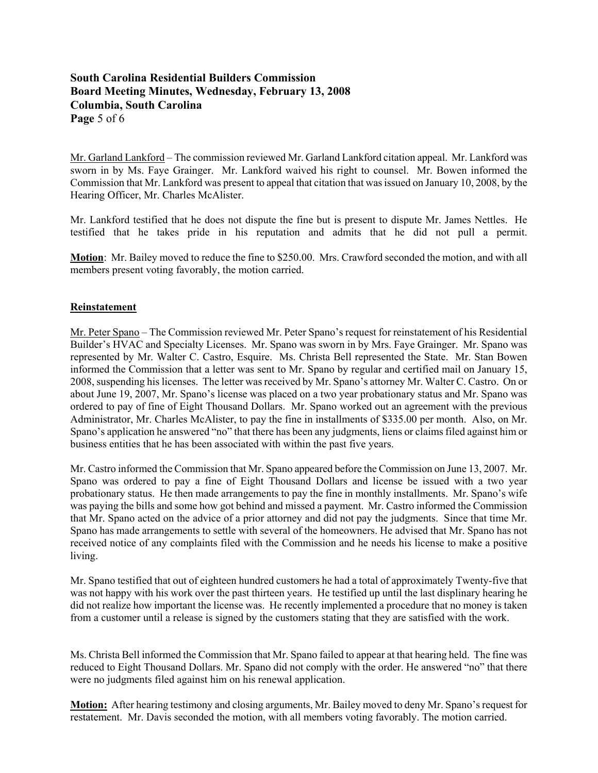# **South Carolina Residential Builders Commission Board Meeting Minutes, Wednesday, February 13, 2008 Columbia, South Carolina Page** 5 of 6

Mr. Garland Lankford – The commission reviewed Mr. Garland Lankford citation appeal. Mr. Lankford was sworn in by Ms. Faye Grainger. Mr. Lankford waived his right to counsel. Mr. Bowen informed the Commission that Mr. Lankford was present to appeal that citation that was issued on January 10, 2008, by the Hearing Officer, Mr. Charles McAlister.

Mr. Lankford testified that he does not dispute the fine but is present to dispute Mr. James Nettles. He testified that he takes pride in his reputation and admits that he did not pull a permit.

**Motion**: Mr. Bailey moved to reduce the fine to \$250.00. Mrs. Crawford seconded the motion, and with all members present voting favorably, the motion carried.

## **Reinstatement**

Mr. Peter Spano – The Commission reviewed Mr. Peter Spano's request for reinstatement of his Residential Builder's HVAC and Specialty Licenses. Mr. Spano was sworn in by Mrs. Faye Grainger. Mr. Spano was represented by Mr. Walter C. Castro, Esquire. Ms. Christa Bell represented the State. Mr. Stan Bowen informed the Commission that a letter was sent to Mr. Spano by regular and certified mail on January 15, 2008, suspending his licenses. The letter was received by Mr. Spano's attorney Mr. Walter C. Castro. On or about June 19, 2007, Mr. Spano's license was placed on a two year probationary status and Mr. Spano was ordered to pay of fine of Eight Thousand Dollars. Mr. Spano worked out an agreement with the previous Administrator, Mr. Charles McAlister, to pay the fine in installments of \$335.00 per month. Also, on Mr. Spano's application he answered "no" that there has been any judgments, liens or claims filed against him or business entities that he has been associated with within the past five years.

Mr. Castro informed the Commission that Mr. Spano appeared before the Commission on June 13, 2007. Mr. Spano was ordered to pay a fine of Eight Thousand Dollars and license be issued with a two year probationary status. He then made arrangements to pay the fine in monthly installments. Mr. Spano's wife was paying the bills and some how got behind and missed a payment. Mr. Castro informed the Commission that Mr. Spano acted on the advice of a prior attorney and did not pay the judgments. Since that time Mr. Spano has made arrangements to settle with several of the homeowners. He advised that Mr. Spano has not received notice of any complaints filed with the Commission and he needs his license to make a positive living.

Mr. Spano testified that out of eighteen hundred customers he had a total of approximately Twenty-five that was not happy with his work over the past thirteen years. He testified up until the last displinary hearing he did not realize how important the license was. He recently implemented a procedure that no money is taken from a customer until a release is signed by the customers stating that they are satisfied with the work.

Ms. Christa Bell informed the Commission that Mr. Spano failed to appear at that hearing held. The fine was reduced to Eight Thousand Dollars. Mr. Spano did not comply with the order. He answered "no" that there were no judgments filed against him on his renewal application.

**Motion:** After hearing testimony and closing arguments, Mr. Bailey moved to deny Mr. Spano's request for restatement. Mr. Davis seconded the motion, with all members voting favorably. The motion carried.